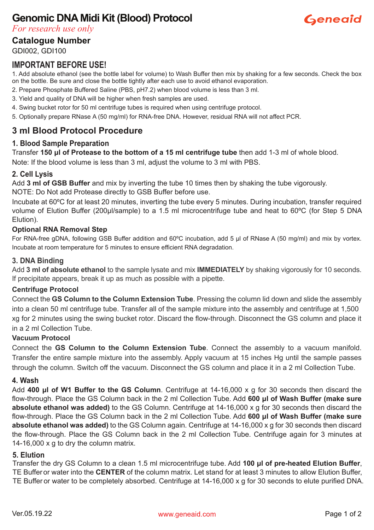# **Genomic DNA Midi Kit (Blood) Protocol**



*For research use only*

**Catalogue Number**

GDI002, GDI100

#### **IMPORTANT BEFORE USE!**

1. Add absolute ethanol (see the bottle label for volume) to Wash Buffer then mix by shaking for a few seconds. Check the box on the bottle. Be sure and close the bottle tightly after each use to avoid ethanol evaporation.

- 2. Prepare Phosphate Buffered Saline (PBS, pH7.2) when blood volume is less than 3 ml.
- 3. Yield and quality of DNA will be higher when fresh samples are used.
- 4. Swing bucket rotor for 50 ml centrifuge tubes is required when using centrifuge protocol.
- 5. Optionally prepare RNase A (50 mg/ml) for RNA-free DNA. However, residual RNA will not affect PCR.

### **3 ml Blood Protocol Procedure**

#### **1. Blood Sample Preparation**

Transfer **150 μl of Protease to the bottom of a 15 ml centrifuge tube** then add 1-3 ml of whole blood.

Note: If the blood volume is less than 3 ml, adjust the volume to 3 ml with PBS.

#### **2. Cell Lysis**

Add **3 ml of GSB Buffer** and mix by inverting the tube 10 times then by shaking the tube vigorously. NOTE: Do Not add Protease directly to GSB Buffer before use.

Incubate at 60ºC for at least 20 minutes, inverting the tube every 5 minutes. During incubation, transfer required volume of Elution Buffer (200μl/sample) to a 1.5 ml microcentrifuge tube and heat to 60ºC (for Step 5 DNA Elution).

#### **Optional RNA Removal Step**

For RNA-free gDNA, following GSB Buffer addition and 60ºC incubation, add 5 μl of RNase A (50 mg/ml) and mix by vortex. Incubate at room temperature for 5 minutes to ensure efficient RNA degradation.

#### **3. DNA Binding**

Add **3 ml of absolute ethanol** to the sample lysate and mix **IMMEDIATELY** by shaking vigorously for 10 seconds. If precipitate appears, break it up as much as possible with a pipette.

#### **Centrifuge Protocol**

Connect the **GS Column to the Column Extension Tube**. Pressing the column lid down and slide the assembly into a clean 50 ml centrifuge tube. Transfer all of the sample mixture into the assembly and centrifuge at 1,500 xg for 2 minutes using the swing bucket rotor. Discard the flow-through. Disconnect the GS column and place it in a 2 ml Collection Tube.

#### **Vacuum Protocol**

Connect the **GS Column to the Column Extension Tube**. Connect the assembly to a vacuum manifold. Transfer the entire sample mixture into the assembly. Apply vacuum at 15 inches Hg until the sample passes through the column. Switch off the vacuum. Disconnect the GS column and place it in a 2 ml Collection Tube.

#### **4. Wash**

Add **400 μl of W1 Buffer to the GS Column**. Centrifuge at 14-16,000 x g for 30 seconds then discard the flow-through. Place the GS Column back in the 2 ml Collection Tube. Add **600 μl of Wash Buffer (make sure absolute ethanol was added)** to the GS Column. Centrifuge at 14-16,000 x g for 30 seconds then discard the flow-through. Place the GS Column back in the 2 ml Collection Tube. Add **600 μl of Wash Buffer (make sure absolute ethanol was added)** to the GS Column again. Centrifuge at 14-16,000 x g for 30 seconds then discard the flow-through. Place the GS Column back in the 2 ml Collection Tube. Centrifuge again for 3 minutes at 14-16,000 x g to dry the column matrix.

#### **5. Elution**

Transfer the dry GS Column to a clean 1.5 ml microcentrifuge tube. Add **100 μl of pre-heated Elution Buffer**, TE Buffer or water into the **CENTER** of the column matrix. Let stand for at least 3 minutes to allow Elution Buffer, TE Buffer or water to be completely absorbed. Centrifuge at 14-16,000 x g for 30 seconds to elute purified DNA.